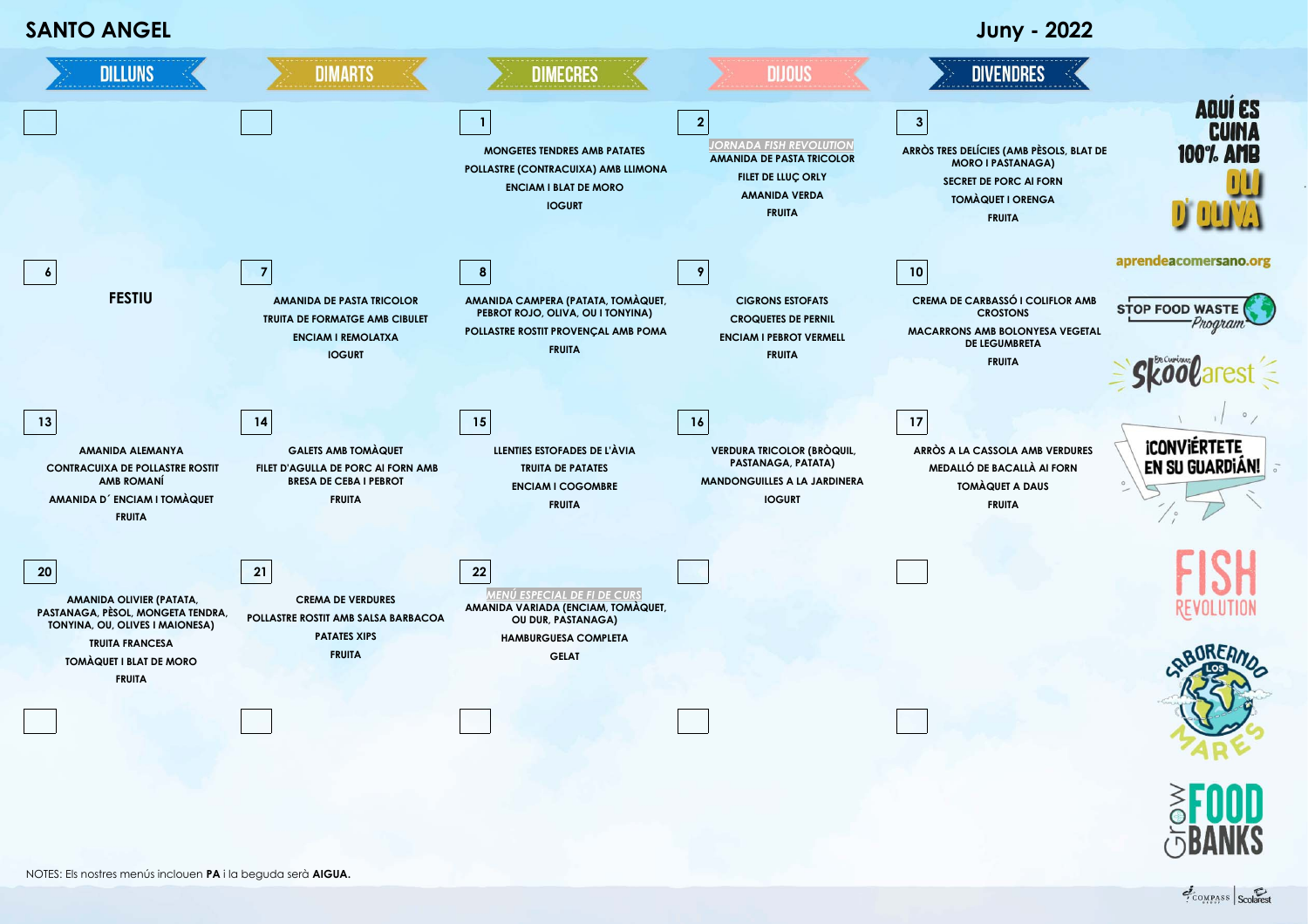